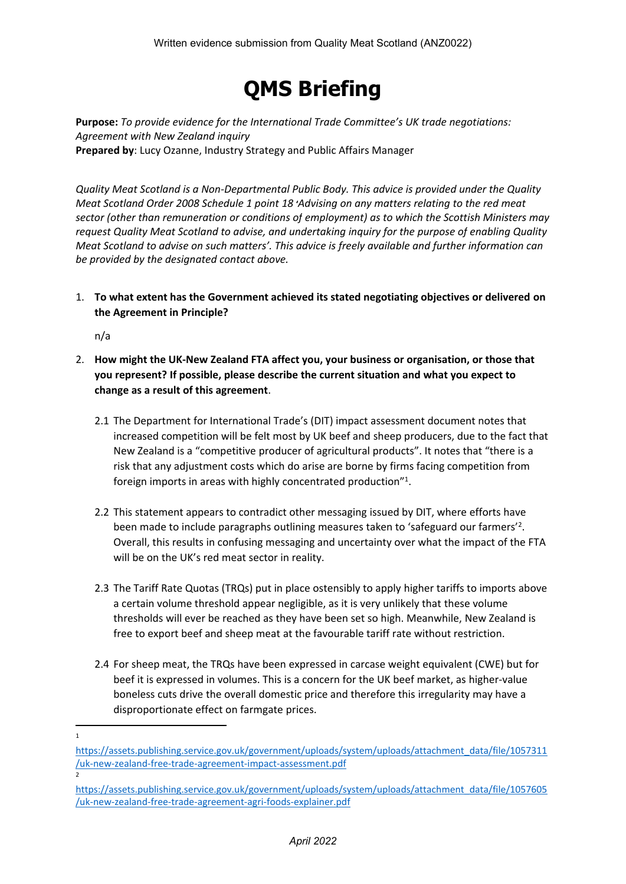# **QMS Briefing**

**Purpose:** *To provide evidence for the International Trade Committee's UK trade negotiations: Agreement with New Zealand inquiry* **Prepared by**: Lucy Ozanne, Industry Strategy and Public Affairs Manager

*Quality Meat Scotland is a Non-Departmental Public Body. This advice is provided under the Quality Meat Scotland Order 2008 Schedule 1 point 18 'Advising on any matters relating to the red meat sector (other than remuneration or conditions of employment) as to which the Scottish Ministers may request Quality Meat Scotland to advise, and undertaking inquiry for the purpose of enabling Quality Meat Scotland to advise on such matters'. This advice is freely available and further information can be provided by the designated contact above.*

1. **To what extent has the Government achieved its stated negotiating objectives or delivered on the Agreement in Principle?**

n/a

- 2. **How might the UK-New Zealand FTA affect you, your business or organisation, or those that you represent? If possible, please describe the current situation and what you expect to change as a result of this agreement**.
	- 2.1 The Department for International Trade's (DIT) impact assessment document notes that increased competition will be felt most by UK beef and sheep producers, due to the fact that New Zealand is a "competitive producer of agricultural products". It notes that "there is a risk that any adjustment costs which do arise are borne by firms facing competition from foreign imports in areas with highly concentrated production"<sup>1</sup>.
	- 2.2 This statement appears to contradict other messaging issued by DIT, where efforts have been made to include paragraphs outlining measures taken to 'safeguard our farmers'<sup>2</sup>. Overall, this results in confusing messaging and uncertainty over what the impact of the FTA will be on the UK's red meat sector in reality.
	- 2.3 The Tariff Rate Quotas (TRQs) put in place ostensibly to apply higher tariffs to imports above a certain volume threshold appear negligible, as it is very unlikely that these volume thresholds will ever be reached as they have been set so high. Meanwhile, New Zealand is free to export beef and sheep meat at the favourable tariff rate without restriction.
	- 2.4 For sheep meat, the TRQs have been expressed in carcase weight equivalent (CWE) but for beef it is expressed in volumes. This is a concern for the UK beef market, as higher-value boneless cuts drive the overall domestic price and therefore this irregularity may have a disproportionate effect on farmgate prices.

<sup>1</sup>

[https://assets.publishing.service.gov.uk/government/uploads/system/uploads/attachment\\_data/file/1057311](https://assets.publishing.service.gov.uk/government/uploads/system/uploads/attachment_data/file/1057311/uk-new-zealand-free-trade-agreement-impact-assessment.pdf) [/uk-new-zealand-free-trade-agreement-impact-assessment.pdf](https://assets.publishing.service.gov.uk/government/uploads/system/uploads/attachment_data/file/1057311/uk-new-zealand-free-trade-agreement-impact-assessment.pdf) 2

[https://assets.publishing.service.gov.uk/government/uploads/system/uploads/attachment\\_data/file/1057605](https://assets.publishing.service.gov.uk/government/uploads/system/uploads/attachment_data/file/1057605/uk-new-zealand-free-trade-agreement-agri-foods-explainer.pdf) [/uk-new-zealand-free-trade-agreement-agri-foods-explainer.pdf](https://assets.publishing.service.gov.uk/government/uploads/system/uploads/attachment_data/file/1057605/uk-new-zealand-free-trade-agreement-agri-foods-explainer.pdf)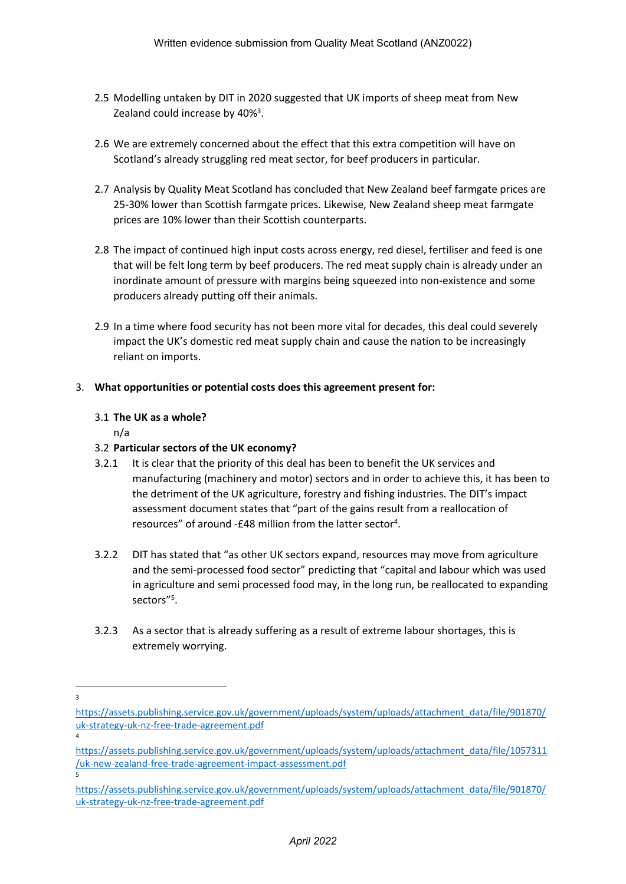- 2.5 Modelling untaken by DIT in 2020 suggested that UK imports of sheep meat from New Zealand could increase by 40%<sup>3</sup>.
- 2.6 We are extremely concerned about the effect that this extra competition will have on Scotland's already struggling red meat sector, for beef producers in particular.
- 2.7 Analysis by Quality Meat Scotland has concluded that New Zealand beef farmgate prices are 25-30% lower than Scottish farmgate prices. Likewise, New Zealand sheep meat farmgate prices are 10% lower than their Scottish counterparts.
- 2.8 The impact of continued high input costs across energy, red diesel, fertiliser and feed is one that will be felt long term by beef producers. The red meat supply chain is already under an inordinate amount of pressure with margins being squeezed into non-existence and some producers already putting off their animals.
- 2.9 In a time where food security has not been more vital for decades, this deal could severely impact the UK's domestic red meat supply chain and cause the nation to be increasingly reliant on imports.

## 3. **What opportunities or potential costs does this agreement present for:**

#### 3.1 **The UK as a whole?**

n/a

## 3.2 **Particular sectors of the UK economy?**

- 3.2.1 It is clear that the priority of this deal has been to benefit the UK services and manufacturing (machinery and motor) sectors and in order to achieve this, it has been to the detriment of the UK agriculture, forestry and fishing industries. The DIT's impact assessment document states that "part of the gains result from a reallocation of resources" of around -£48 million from the latter sector<sup>4</sup>.
- 3.2.2 DIT has stated that "as other UK sectors expand, resources may move from agriculture and the semi-processed food sector" predicting that "capital and labour which was used in agriculture and semi processed food may, in the long run, be reallocated to expanding sectors"<sup>5</sup>.
- 3.2.3 As a sector that is already suffering as a result of extreme labour shortages, this is extremely worrying.

3

4

[https://assets.publishing.service.gov.uk/government/uploads/system/uploads/attachment\\_data/file/901870/](https://assets.publishing.service.gov.uk/government/uploads/system/uploads/attachment_data/file/901870/uk-strategy-uk-nz-free-trade-agreement.pdf) [uk-strategy-uk-nz-free-trade-agreement.pdf](https://assets.publishing.service.gov.uk/government/uploads/system/uploads/attachment_data/file/901870/uk-strategy-uk-nz-free-trade-agreement.pdf)

[https://assets.publishing.service.gov.uk/government/uploads/system/uploads/attachment\\_data/file/1057311](https://assets.publishing.service.gov.uk/government/uploads/system/uploads/attachment_data/file/1057311/uk-new-zealand-free-trade-agreement-impact-assessment.pdf) [/uk-new-zealand-free-trade-agreement-impact-assessment.pdf](https://assets.publishing.service.gov.uk/government/uploads/system/uploads/attachment_data/file/1057311/uk-new-zealand-free-trade-agreement-impact-assessment.pdf) 5

[https://assets.publishing.service.gov.uk/government/uploads/system/uploads/attachment\\_data/file/901870/](https://assets.publishing.service.gov.uk/government/uploads/system/uploads/attachment_data/file/901870/uk-strategy-uk-nz-free-trade-agreement.pdf) [uk-strategy-uk-nz-free-trade-agreement.pdf](https://assets.publishing.service.gov.uk/government/uploads/system/uploads/attachment_data/file/901870/uk-strategy-uk-nz-free-trade-agreement.pdf)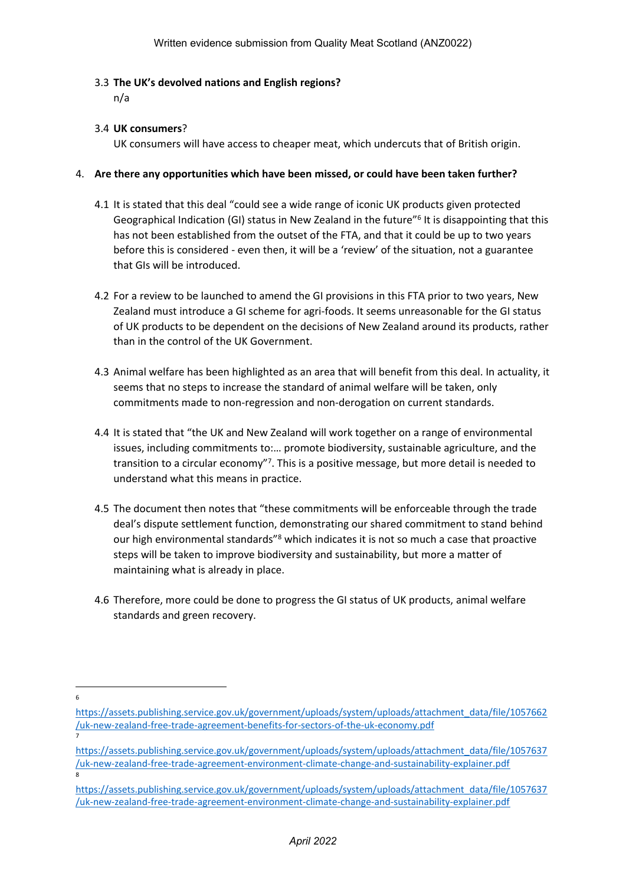#### 3.3 **The UK's devolved nations and English regions?**

n/a

### 3.4 **UK consumers**?

UK consumers will have access to cheaper meat, which undercuts that of British origin.

#### 4. **Are there any opportunities which have been missed, or could have been taken further?**

- 4.1 It is stated that this deal "could see a wide range of iconic UK products given protected Geographical Indication (GI) status in New Zealand in the future"<sup>6</sup> It is disappointing that this has not been established from the outset of the FTA, and that it could be up to two years before this is considered - even then, it will be a 'review' of the situation, not a guarantee that GIs will be introduced.
- 4.2 For a review to be launched to amend the GI provisions in this FTA prior to two years, New Zealand must introduce a GI scheme for agri-foods. It seems unreasonable for the GI status of UK products to be dependent on the decisions of New Zealand around its products, rather than in the control of the UK Government.
- 4.3 Animal welfare has been highlighted as an area that will benefit from this deal. In actuality, it seems that no steps to increase the standard of animal welfare will be taken, only commitments made to non-regression and non-derogation on current standards.
- 4.4 It is stated that "the UK and New Zealand will work together on a range of environmental issues, including commitments to:… promote biodiversity, sustainable agriculture, and the transition to a circular economy"<sup>7</sup>. This is a positive message, but more detail is needed to understand what this means in practice.
- 4.5 The document then notes that "these commitments will be enforceable through the trade deal's dispute settlement function, demonstrating our shared commitment to stand behind our high environmental standards"<sup>8</sup> which indicates it is not so much a case that proactive steps will be taken to improve biodiversity and sustainability, but more a matter of maintaining what is already in place.
- 4.6 Therefore, more could be done to progress the GI status of UK products, animal welfare standards and green recovery.

6

7

[https://assets.publishing.service.gov.uk/government/uploads/system/uploads/attachment\\_data/file/1057662](https://assets.publishing.service.gov.uk/government/uploads/system/uploads/attachment_data/file/1057662/uk-new-zealand-free-trade-agreement-benefits-for-sectors-of-the-uk-economy.pdf) [/uk-new-zealand-free-trade-agreement-benefits-for-sectors-of-the-uk-economy.pdf](https://assets.publishing.service.gov.uk/government/uploads/system/uploads/attachment_data/file/1057662/uk-new-zealand-free-trade-agreement-benefits-for-sectors-of-the-uk-economy.pdf)

[https://assets.publishing.service.gov.uk/government/uploads/system/uploads/attachment\\_data/file/1057637](https://assets.publishing.service.gov.uk/government/uploads/system/uploads/attachment_data/file/1057637/uk-new-zealand-free-trade-agreement-environment-climate-change-and-sustainability-explainer.pdf) [/uk-new-zealand-free-trade-agreement-environment-climate-change-and-sustainability-explainer.pdf](https://assets.publishing.service.gov.uk/government/uploads/system/uploads/attachment_data/file/1057637/uk-new-zealand-free-trade-agreement-environment-climate-change-and-sustainability-explainer.pdf) 8

[https://assets.publishing.service.gov.uk/government/uploads/system/uploads/attachment\\_data/file/1057637](https://assets.publishing.service.gov.uk/government/uploads/system/uploads/attachment_data/file/1057637/uk-new-zealand-free-trade-agreement-environment-climate-change-and-sustainability-explainer.pdf) [/uk-new-zealand-free-trade-agreement-environment-climate-change-and-sustainability-explainer.pdf](https://assets.publishing.service.gov.uk/government/uploads/system/uploads/attachment_data/file/1057637/uk-new-zealand-free-trade-agreement-environment-climate-change-and-sustainability-explainer.pdf)